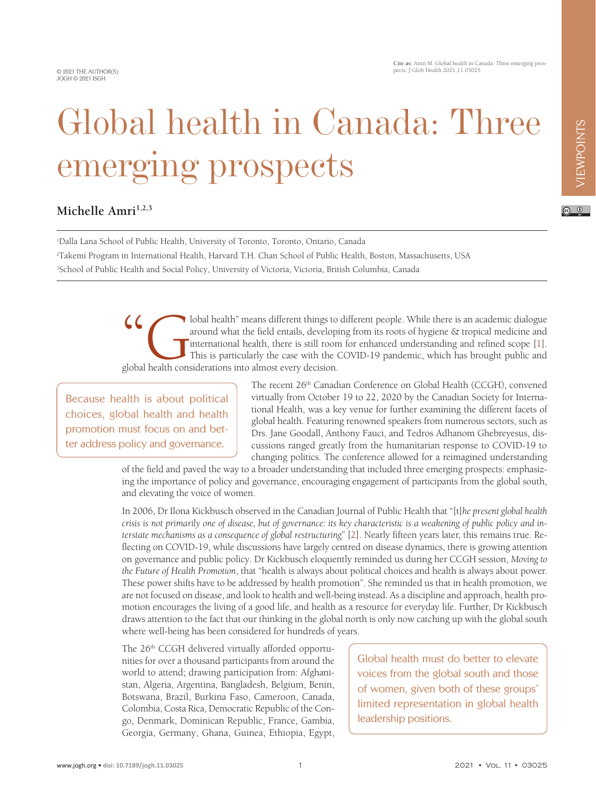© 2021 THE AUTHOR(S) JOGH © 2021 ISGH

**Cite as:** Amri M. Global health in Canada: Three emerging prospects. J Glob Health 2021,11:03025.

 $\odot$   $\odot$ 

## Global health in Canada: Three emerging prospects

## Michelle Amri<sup>1,2,3</sup>

1 Dalla Lana School of Public Health, University of Toronto, Toronto, Ontario, Canada 2 Takemi Program in International Health, Harvard T.H. Chan School of Public Health, Boston, Massachusetts, USA 3 School of Public Health and Social Policy, University of Victoria, Victoria, British Columbia, Canada

> Cobal health" means different things to different people. While there is an academic dialogue around what the field entails, developing from its roots of hygiene  $\&$  tropical medicine and international health, there is st around what the field entails, developing from its roots of hygiene & tropical medicine and international health, there is still room for enhanced understanding and refined scope [1]. This is particularly the case with the COVID-19 pandemic, which has brought public and global health considerations into almost every decision.

Because health is about political choices, global health and health promotion must focus on and better address policy and governance.

The recent 26<sup>th</sup> Canadian Conference on Global Health (CCGH), convened virtually from October 19 to 22, 2020 by the Canadian Society for International Health, was a key venue for further examining the different facets of global health. Featuring renowned speakers from numerous sectors, such as Drs. Jane Goodall, Anthony Fauci, and Tedros Adhanom Ghebreyesus, discussions ranged greatly from the humanitarian response to COVID-19 to changing politics. The conference allowed for a reimagined understanding

of the field and paved the way to a broader understanding that included three emerging prospects: emphasizing the importance of policy and governance, encouraging engagement of participants from the global south, and elevating the voice of women.

In 2006, Dr Ilona Kickbusch observed in the Canadian Journal of Public Health that "[t]*he present global health crisis is not primarily one of disease, but of governance: its key characteristic is a weakening of public policy and interstate mechanisms as a consequence of global restructuring*" [[2\]](#page-2-1). Nearly fifteen years later, this remains true. Reflecting on COVID-19, while discussions have largely centred on disease dynamics, there is growing attention on governance and public policy. Dr Kickbusch eloquently reminded us during her CCGH session, *Moving to the Future of Health Promotion*, that "health is always about political choices and health is always about power. These power shifts have to be addressed by health promotion". She reminded us that in health promotion, we are not focused on disease, and look to health and well-being instead. As a discipline and approach, health promotion encourages the living of a good life, and health as a resource for everyday life. Further, Dr Kickbusch draws attention to the fact that our thinking in the global north is only now catching up with the global south where well-being has been considered for hundreds of years.

The 26<sup>th</sup> CCGH delivered virtually afforded opportunities for over a thousand participants from around the world to attend; drawing participation from: Afghanistan, Algeria, Argentina, Bangladesh, Belgium, Benin, Botswana, Brazil, Burkina Faso, Cameroon, Canada, Colombia, Costa Rica, Democratic Republic of the Congo, Denmark, Dominican Republic, France, Gambia, Georgia, Germany, Ghana, Guinea, Ethiopia, Egypt,

Global health must do better to elevate voices from the global south and those of women, given both of these groups' limited representation in global health leadership positions.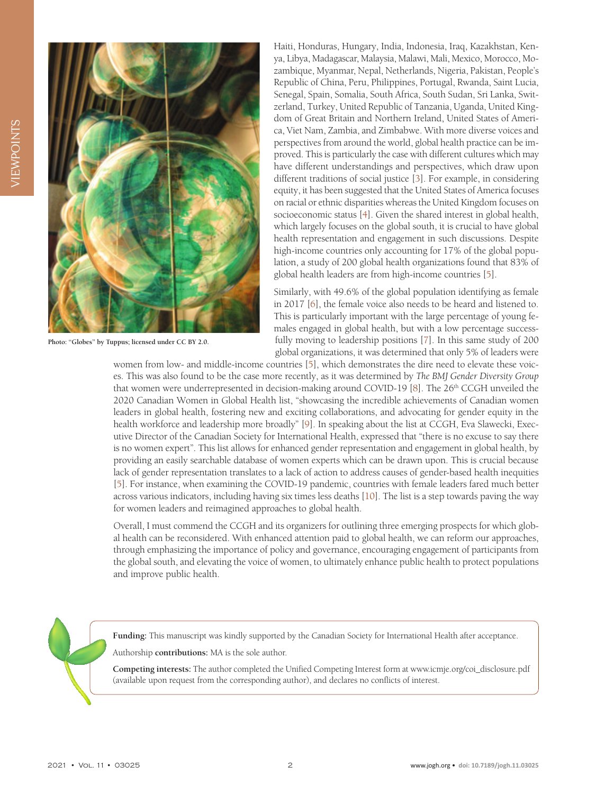

**Photo: "Globes" by Tuppus; licensed under CC BY 2.0.**

Haiti, Honduras, Hungary, India, Indonesia, Iraq, Kazakhstan, Kenya, Libya, Madagascar, Malaysia, Malawi, Mali, Mexico, Morocco, Mozambique, Myanmar, Nepal, Netherlands, Nigeria, Pakistan, People's Republic of China, Peru, Philippines, Portugal, Rwanda, Saint Lucia, Senegal, Spain, Somalia, South Africa, South Sudan, Sri Lanka, Switzerland, Turkey, United Republic of Tanzania, Uganda, United Kingdom of Great Britain and Northern Ireland, United States of America, Viet Nam, Zambia, and Zimbabwe. With more diverse voices and perspectives from around the world, global health practice can be improved. This is particularly the case with different cultures which may have different understandings and perspectives, which draw upon different traditions of social justice [\[3](#page-2-2)]. For example, in considering equity, it has been suggested that the United States of America focuses on racial or ethnic disparities whereas the United Kingdom focuses on socioeconomic status [\[4](#page-2-3)]. Given the shared interest in global health, which largely focuses on the global south, it is crucial to have global health representation and engagement in such discussions. Despite high-income countries only accounting for 17% of the global population, a study of 200 global health organizations found that 83% of global health leaders are from high-income countries [\[5](#page-2-4)].

Similarly, with 49.6% of the global population identifying as female in 2017 [\[6](#page-2-5)], the female voice also needs to be heard and listened to. This is particularly important with the large percentage of young females engaged in global health, but with a low percentage successfully moving to leadership positions [\[7](#page-2-6)]. In this same study of 200 global organizations, it was determined that only 5% of leaders were

women from low- and middle-income countries [\[5](#page-2-4)], which demonstrates the dire need to elevate these voices. This was also found to be the case more recently, as it was determined by *The BMJ Gender Diversity Group* that women were underrepresented in decision-making around COVID-19 [[8\]](#page-2-7). The 26<sup>th</sup> CCGH unveiled the 2020 Canadian Women in Global Health list, "showcasing the incredible achievements of Canadian women leaders in global health, fostering new and exciting collaborations, and advocating for gender equity in the health workforce and leadership more broadly" [\[9\]](#page-2-8). In speaking about the list at CCGH, Eva Slawecki, Executive Director of the Canadian Society for International Health, expressed that "there is no excuse to say there is no women expert". This list allows for enhanced gender representation and engagement in global health, by providing an easily searchable database of women experts which can be drawn upon. This is crucial because lack of gender representation translates to a lack of action to address causes of gender-based health inequities [[5\]](#page-2-4). For instance, when examining the COVID-19 pandemic, countries with female leaders fared much better across various indicators, including having six times less deaths [\[10\]](#page-2-9). The list is a step towards paving the way for women leaders and reimagined approaches to global health.

Overall, I must commend the CCGH and its organizers for outlining three emerging prospects for which global health can be reconsidered. With enhanced attention paid to global health, we can reform our approaches, through emphasizing the importance of policy and governance, encouraging engagement of participants from the global south, and elevating the voice of women, to ultimately enhance public health to protect populations and improve public health.

**Funding:** This manuscript was kindly supported by the Canadian Society for International Health after acceptance.

Authorship **contributions:** MA is the sole author.

**Competing interests:** The author completed the Unified Competing Interest form at www.icmje.org/coi\_disclosure.pdf (available upon request from the corresponding author), and declares no conflicts of interest.